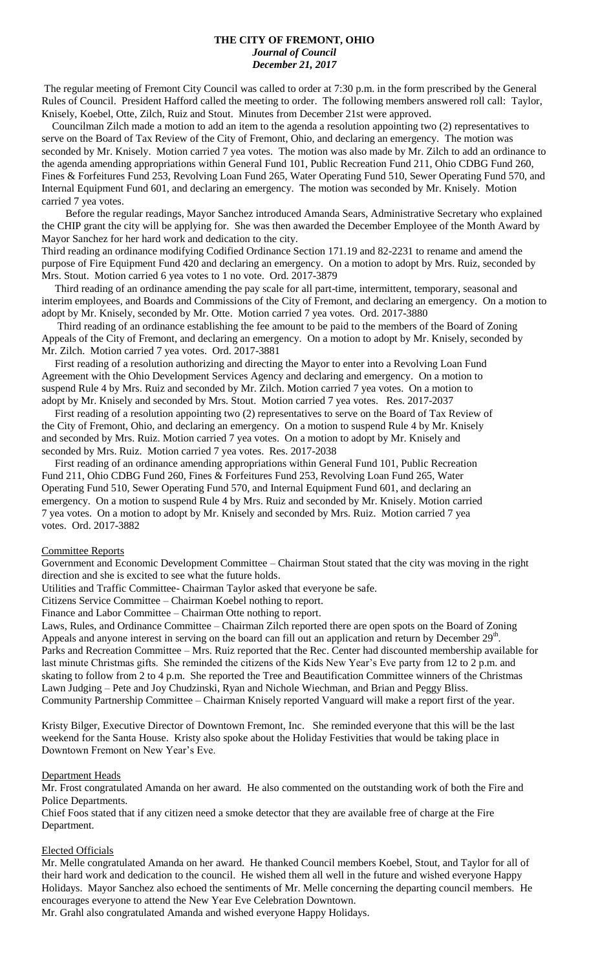# **THE CITY OF FREMONT, OHIO** *Journal of Council December 21, 2017*

The regular meeting of Fremont City Council was called to order at 7:30 p.m. in the form prescribed by the General Rules of Council. President Hafford called the meeting to order. The following members answered roll call: Taylor, Knisely, Koebel, Otte, Zilch, Ruiz and Stout. Minutes from December 21st were approved.

 Councilman Zilch made a motion to add an item to the agenda a resolution appointing two (2) representatives to serve on the Board of Tax Review of the City of Fremont, Ohio, and declaring an emergency. The motion was seconded by Mr. Knisely. Motion carried 7 yea votes. The motion was also made by Mr. Zilch to add an ordinance to the agenda amending appropriations within General Fund 101, Public Recreation Fund 211, Ohio CDBG Fund 260, Fines & Forfeitures Fund 253, Revolving Loan Fund 265, Water Operating Fund 510, Sewer Operating Fund 570, and Internal Equipment Fund 601, and declaring an emergency. The motion was seconded by Mr. Knisely. Motion carried 7 yea votes.

 Before the regular readings, Mayor Sanchez introduced Amanda Sears, Administrative Secretary who explained the CHIP grant the city will be applying for. She was then awarded the December Employee of the Month Award by Mayor Sanchez for her hard work and dedication to the city.

Third reading an ordinance modifying Codified Ordinance Section 171.19 and 82-2231 to rename and amend the purpose of Fire Equipment Fund 420 and declaring an emergency. On a motion to adopt by Mrs. Ruiz, seconded by Mrs. Stout. Motion carried 6 yea votes to 1 no vote. Ord. 2017-3879

 Third reading of an ordinance amending the pay scale for all part-time, intermittent, temporary, seasonal and interim employees, and Boards and Commissions of the City of Fremont, and declaring an emergency. On a motion to adopt by Mr. Knisely, seconded by Mr. Otte. Motion carried 7 yea votes. Ord. 2017-3880

 Third reading of an ordinance establishing the fee amount to be paid to the members of the Board of Zoning Appeals of the City of Fremont, and declaring an emergency. On a motion to adopt by Mr. Knisely, seconded by Mr. Zilch. Motion carried 7 yea votes. Ord. 2017-3881

 First reading of a resolution authorizing and directing the Mayor to enter into a Revolving Loan Fund Agreement with the Ohio Development Services Agency and declaring and emergency. On a motion to suspend Rule 4 by Mrs. Ruiz and seconded by Mr. Zilch. Motion carried 7 yea votes. On a motion to adopt by Mr. Knisely and seconded by Mrs. Stout. Motion carried 7 yea votes. Res. 2017-2037

 First reading of a resolution appointing two (2) representatives to serve on the Board of Tax Review of the City of Fremont, Ohio, and declaring an emergency. On a motion to suspend Rule 4 by Mr. Knisely and seconded by Mrs. Ruiz. Motion carried 7 yea votes. On a motion to adopt by Mr. Knisely and seconded by Mrs. Ruiz. Motion carried 7 yea votes. Res. 2017-2038

 First reading of an ordinance amending appropriations within General Fund 101, Public Recreation Fund 211, Ohio CDBG Fund 260, Fines & Forfeitures Fund 253, Revolving Loan Fund 265, Water Operating Fund 510, Sewer Operating Fund 570, and Internal Equipment Fund 601, and declaring an emergency. On a motion to suspend Rule 4 by Mrs. Ruiz and seconded by Mr. Knisely. Motion carried 7 yea votes. On a motion to adopt by Mr. Knisely and seconded by Mrs. Ruiz. Motion carried 7 yea votes. Ord. 2017-3882

#### Committee Reports

Government and Economic Development Committee – Chairman Stout stated that the city was moving in the right direction and she is excited to see what the future holds.

Utilities and Traffic Committee- Chairman Taylor asked that everyone be safe.

Citizens Service Committee – Chairman Koebel nothing to report.

Finance and Labor Committee – Chairman Otte nothing to report.

Laws, Rules, and Ordinance Committee – Chairman Zilch reported there are open spots on the Board of Zoning Appeals and anyone interest in serving on the board can fill out an application and return by December  $29<sup>th</sup>$ . Parks and Recreation Committee – Mrs. Ruiz reported that the Rec. Center had discounted membership available for last minute Christmas gifts. She reminded the citizens of the Kids New Year's Eve party from 12 to 2 p.m. and skating to follow from 2 to 4 p.m. She reported the Tree and Beautification Committee winners of the Christmas Lawn Judging – Pete and Joy Chudzinski, Ryan and Nichole Wiechman, and Brian and Peggy Bliss. Community Partnership Committee – Chairman Knisely reported Vanguard will make a report first of the year.

Kristy Bilger, Executive Director of Downtown Fremont, Inc. She reminded everyone that this will be the last weekend for the Santa House. Kristy also spoke about the Holiday Festivities that would be taking place in Downtown Fremont on New Year's Eve.

#### Department Heads

Mr. Frost congratulated Amanda on her award. He also commented on the outstanding work of both the Fire and Police Departments.

Chief Foos stated that if any citizen need a smoke detector that they are available free of charge at the Fire Department.

#### Elected Officials

Mr. Melle congratulated Amanda on her award. He thanked Council members Koebel, Stout, and Taylor for all of their hard work and dedication to the council. He wished them all well in the future and wished everyone Happy Holidays. Mayor Sanchez also echoed the sentiments of Mr. Melle concerning the departing council members. He encourages everyone to attend the New Year Eve Celebration Downtown.

Mr. Grahl also congratulated Amanda and wished everyone Happy Holidays.